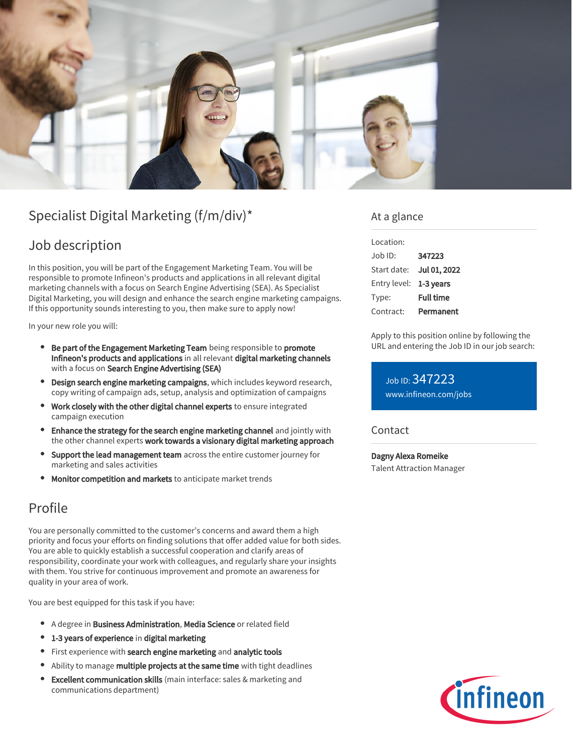

# Specialist Digital Marketing (f/m/div)\*

# Job description

In this position, you will be part of the Engagement Marketing Team. You will be responsible to promote Infineon's products and applications in all relevant digital marketing channels with a focus on Search Engine Advertising (SEA). As Specialist Digital Marketing, you will design and enhance the search engine marketing campaigns. If this opportunity sounds interesting to you, then make sure to apply now!

In your new role you will:

- **Be part of the Engagement Marketing Team** being responsible to promote Infineon's products and applications in all relevant digital marketing channels with a focus on Search Engine Advertising (SEA)
- **Design search engine marketing campaigns**, which includes keyword research, copy writing of campaign ads, setup, analysis and optimization of campaigns
- Work closely with the other digital channel experts to ensure integrated campaign execution
- Enhance the strategy for the search engine marketing channel and jointly with the other channel experts work towards a visionary digital marketing approach
- Support the lead management team across the entire customer journey for marketing and sales activities
- Monitor competition and markets to anticipate market trends

## Profile

You are personally committed to the customer's concerns and award them a high priority and focus your efforts on finding solutions that offer added value for both sides. You are able to quickly establish a successful cooperation and clarify areas of responsibility, coordinate your work with colleagues, and regularly share your insights with them. You strive for continuous improvement and promote an awareness for quality in your area of work.

You are best equipped for this task if you have:

- A degree in Business Administration, Media Science or related field
- 1-3 years of experience in digital marketing
- First experience with search engine marketing and analytic tools
- Ability to manage multiple projects at the same time with tight deadlines
- Excellent communication skills (main interface: sales & marketing and communications department)

### At a glance

| Location:              |                  |
|------------------------|------------------|
| lob ID:                | 347223           |
| Start date:            | Jul 01, 2022     |
| Entry level: 1-3 years |                  |
| Type:                  | <b>Full time</b> |
| Contract:              | Permanent        |

Apply to this position online by following the URL and entering the Job ID in our job search:

Job ID: 347223 [www.infineon.com/jobs](https://www.infineon.com/jobs)

### **Contact**

Dagny Alexa Romeike Talent Attraction Manager